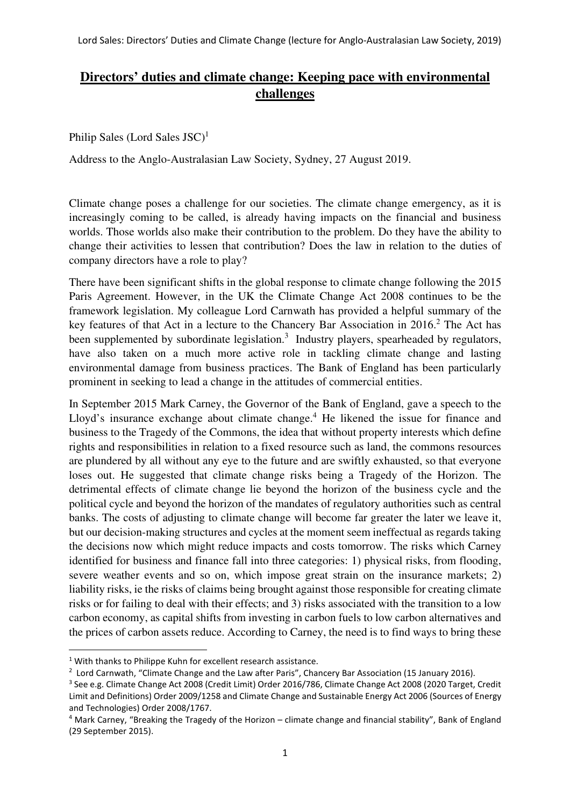## **Directors' duties and climate change: Keeping pace with environmental challenges**

Philip Sales (Lord Sales JSC)<sup>1</sup>

Address to the Anglo-Australasian Law Society, Sydney, 27 August 2019.

Climate change poses a challenge for our societies. The climate change emergency, as it is increasingly coming to be called, is already having impacts on the financial and business worlds. Those worlds also make their contribution to the problem. Do they have the ability to change their activities to lessen that contribution? Does the law in relation to the duties of company directors have a role to play?

There have been significant shifts in the global response to climate change following the 2015 Paris Agreement. However, in the UK the Climate Change Act 2008 continues to be the framework legislation. My colleague Lord Carnwath has provided a helpful summary of the key features of that Act in a lecture to the Chancery Bar Association in 2016.<sup>2</sup> The Act has been supplemented by subordinate legislation.<sup>3</sup> Industry players, spearheaded by regulators, have also taken on a much more active role in tackling climate change and lasting environmental damage from business practices. The Bank of England has been particularly prominent in seeking to lead a change in the attitudes of commercial entities.

In September 2015 Mark Carney, the Governor of the Bank of England, gave a speech to the Lloyd's insurance exchange about climate change.<sup>4</sup> He likened the issue for finance and business to the Tragedy of the Commons, the idea that without property interests which define rights and responsibilities in relation to a fixed resource such as land, the commons resources are plundered by all without any eye to the future and are swiftly exhausted, so that everyone loses out. He suggested that climate change risks being a Tragedy of the Horizon. The detrimental effects of climate change lie beyond the horizon of the business cycle and the political cycle and beyond the horizon of the mandates of regulatory authorities such as central banks. The costs of adjusting to climate change will become far greater the later we leave it, but our decision-making structures and cycles at the moment seem ineffectual as regards taking the decisions now which might reduce impacts and costs tomorrow. The risks which Carney identified for business and finance fall into three categories: 1) physical risks, from flooding, severe weather events and so on, which impose great strain on the insurance markets; 2) liability risks, ie the risks of claims being brought against those responsible for creating climate risks or for failing to deal with their effects; and 3) risks associated with the transition to a low carbon economy, as capital shifts from investing in carbon fuels to low carbon alternatives and the prices of carbon assets reduce. According to Carney, the need is to find ways to bring these

<sup>&</sup>lt;sup>1</sup> With thanks to Philippe Kuhn for excellent research assistance.

<sup>&</sup>lt;sup>2</sup> Lord Carnwath, "Climate Change and the Law after Paris", Chancery Bar Association (15 January 2016).

<sup>3</sup> See e.g. Climate Change Act 2008 (Credit Limit) Order 2016/786, Climate Change Act 2008 (2020 Target, Credit Limit and Definitions) Order 2009/1258 and Climate Change and Sustainable Energy Act 2006 (Sources of Energy and Technologies) Order 2008/1767.

<sup>&</sup>lt;sup>4</sup> Mark Carney, "Breaking the Tragedy of the Horizon – climate change and financial stability", Bank of England (29 September 2015).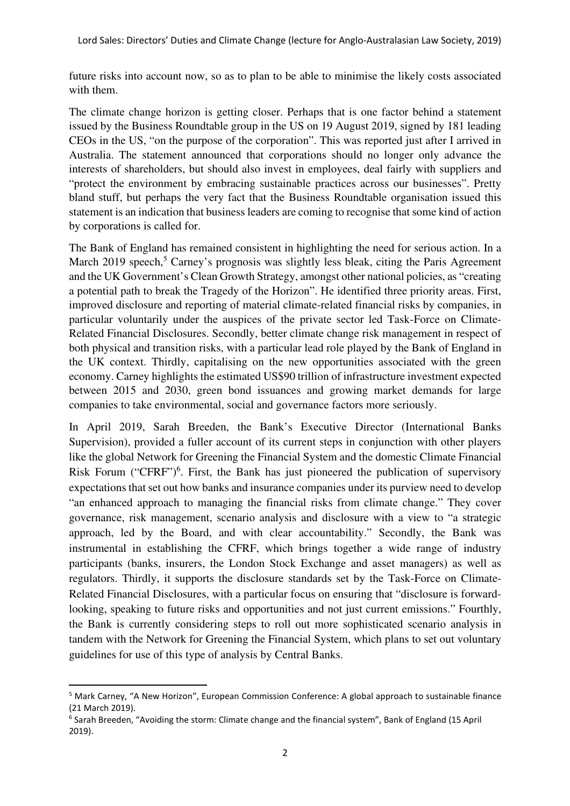future risks into account now, so as to plan to be able to minimise the likely costs associated with them.

The climate change horizon is getting closer. Perhaps that is one factor behind a statement issued by the Business Roundtable group in the US on 19 August 2019, signed by 181 leading CEOs in the US, "on the purpose of the corporation". This was reported just after I arrived in Australia. The statement announced that corporations should no longer only advance the interests of shareholders, but should also invest in employees, deal fairly with suppliers and "protect the environment by embracing sustainable practices across our businesses". Pretty bland stuff, but perhaps the very fact that the Business Roundtable organisation issued this statement is an indication that business leaders are coming to recognise that some kind of action by corporations is called for.

The Bank of England has remained consistent in highlighting the need for serious action. In a March 2019 speech,<sup>5</sup> Carney's prognosis was slightly less bleak, citing the Paris Agreement and the UK Government's Clean Growth Strategy, amongst other national policies, as "creating a potential path to break the Tragedy of the Horizon". He identified three priority areas. First, improved disclosure and reporting of material climate-related financial risks by companies, in particular voluntarily under the auspices of the private sector led Task-Force on Climate-Related Financial Disclosures. Secondly, better climate change risk management in respect of both physical and transition risks, with a particular lead role played by the Bank of England in the UK context. Thirdly, capitalising on the new opportunities associated with the green economy. Carney highlights the estimated US\$90 trillion of infrastructure investment expected between 2015 and 2030, green bond issuances and growing market demands for large companies to take environmental, social and governance factors more seriously.

In April 2019, Sarah Breeden, the Bank's Executive Director (International Banks Supervision), provided a fuller account of its current steps in conjunction with other players like the global Network for Greening the Financial System and the domestic Climate Financial Risk Forum ("CFRF")<sup>6</sup>. First, the Bank has just pioneered the publication of supervisory expectations that set out how banks and insurance companies under its purview need to develop "an enhanced approach to managing the financial risks from climate change." They cover governance, risk management, scenario analysis and disclosure with a view to "a strategic approach, led by the Board, and with clear accountability." Secondly, the Bank was instrumental in establishing the CFRF, which brings together a wide range of industry participants (banks, insurers, the London Stock Exchange and asset managers) as well as regulators. Thirdly, it supports the disclosure standards set by the Task-Force on Climate-Related Financial Disclosures, with a particular focus on ensuring that "disclosure is forwardlooking, speaking to future risks and opportunities and not just current emissions." Fourthly, the Bank is currently considering steps to roll out more sophisticated scenario analysis in tandem with the Network for Greening the Financial System, which plans to set out voluntary guidelines for use of this type of analysis by Central Banks.

<sup>&</sup>lt;sup>5</sup> Mark Carney, "A New Horizon", European Commission Conference: A global approach to sustainable finance (21 March 2019).

<sup>&</sup>lt;sup>6</sup> Sarah Breeden, "Avoiding the storm: Climate change and the financial system", Bank of England (15 April 2019).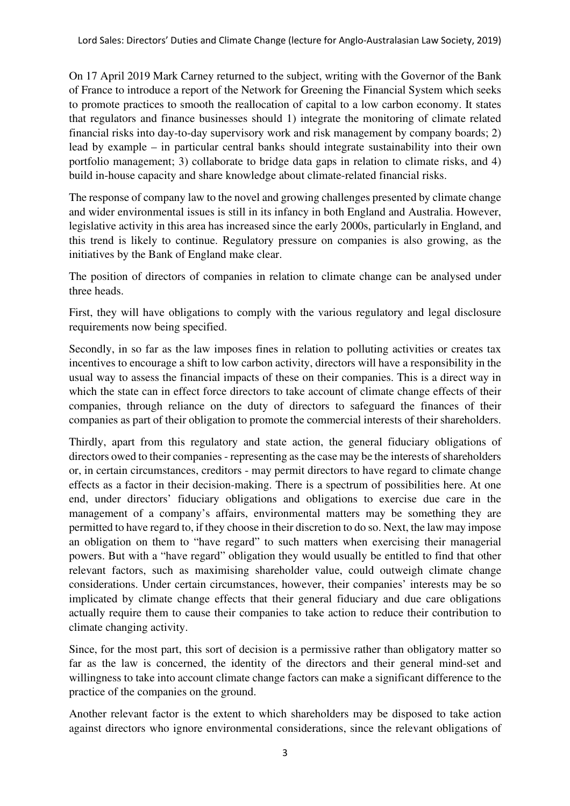On 17 April 2019 Mark Carney returned to the subject, writing with the Governor of the Bank of France to introduce a report of the Network for Greening the Financial System which seeks to promote practices to smooth the reallocation of capital to a low carbon economy. It states that regulators and finance businesses should 1) integrate the monitoring of climate related financial risks into day-to-day supervisory work and risk management by company boards; 2) lead by example – in particular central banks should integrate sustainability into their own portfolio management; 3) collaborate to bridge data gaps in relation to climate risks, and 4) build in-house capacity and share knowledge about climate-related financial risks.

The response of company law to the novel and growing challenges presented by climate change and wider environmental issues is still in its infancy in both England and Australia. However, legislative activity in this area has increased since the early 2000s, particularly in England, and this trend is likely to continue. Regulatory pressure on companies is also growing, as the initiatives by the Bank of England make clear.

The position of directors of companies in relation to climate change can be analysed under three heads.

First, they will have obligations to comply with the various regulatory and legal disclosure requirements now being specified.

Secondly, in so far as the law imposes fines in relation to polluting activities or creates tax incentives to encourage a shift to low carbon activity, directors will have a responsibility in the usual way to assess the financial impacts of these on their companies. This is a direct way in which the state can in effect force directors to take account of climate change effects of their companies, through reliance on the duty of directors to safeguard the finances of their companies as part of their obligation to promote the commercial interests of their shareholders.

Thirdly, apart from this regulatory and state action, the general fiduciary obligations of directors owed to their companies - representing as the case may be the interests of shareholders or, in certain circumstances, creditors - may permit directors to have regard to climate change effects as a factor in their decision-making. There is a spectrum of possibilities here. At one end, under directors' fiduciary obligations and obligations to exercise due care in the management of a company's affairs, environmental matters may be something they are permitted to have regard to, if they choose in their discretion to do so. Next, the law may impose an obligation on them to "have regard" to such matters when exercising their managerial powers. But with a "have regard" obligation they would usually be entitled to find that other relevant factors, such as maximising shareholder value, could outweigh climate change considerations. Under certain circumstances, however, their companies' interests may be so implicated by climate change effects that their general fiduciary and due care obligations actually require them to cause their companies to take action to reduce their contribution to climate changing activity.

Since, for the most part, this sort of decision is a permissive rather than obligatory matter so far as the law is concerned, the identity of the directors and their general mind-set and willingness to take into account climate change factors can make a significant difference to the practice of the companies on the ground.

Another relevant factor is the extent to which shareholders may be disposed to take action against directors who ignore environmental considerations, since the relevant obligations of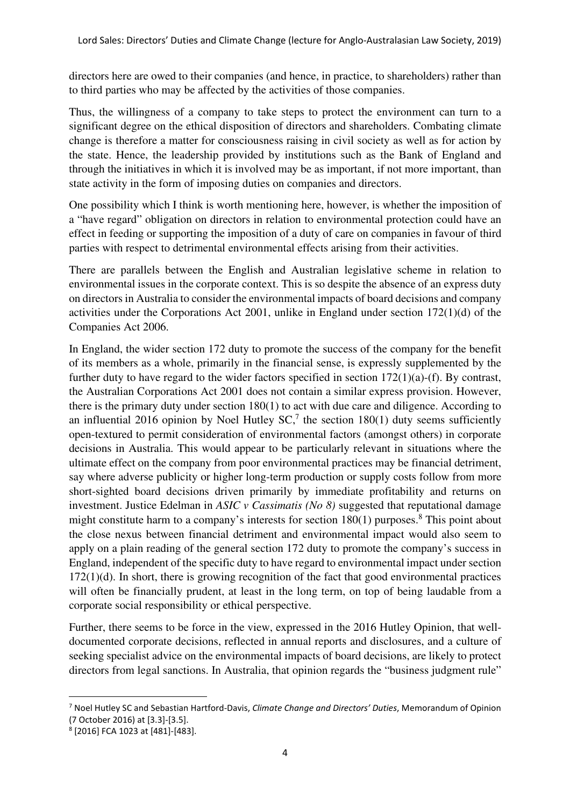directors here are owed to their companies (and hence, in practice, to shareholders) rather than to third parties who may be affected by the activities of those companies.

Thus, the willingness of a company to take steps to protect the environment can turn to a significant degree on the ethical disposition of directors and shareholders. Combating climate change is therefore a matter for consciousness raising in civil society as well as for action by the state. Hence, the leadership provided by institutions such as the Bank of England and through the initiatives in which it is involved may be as important, if not more important, than state activity in the form of imposing duties on companies and directors.

One possibility which I think is worth mentioning here, however, is whether the imposition of a "have regard" obligation on directors in relation to environmental protection could have an effect in feeding or supporting the imposition of a duty of care on companies in favour of third parties with respect to detrimental environmental effects arising from their activities.

There are parallels between the English and Australian legislative scheme in relation to environmental issues in the corporate context. This is so despite the absence of an express duty on directors in Australia to consider the environmental impacts of board decisions and company activities under the Corporations Act 2001, unlike in England under section 172(1)(d) of the Companies Act 2006.

In England, the wider section 172 duty to promote the success of the company for the benefit of its members as a whole, primarily in the financial sense, is expressly supplemented by the further duty to have regard to the wider factors specified in section  $172(1)(a)$ -(f). By contrast, the Australian Corporations Act 2001 does not contain a similar express provision. However, there is the primary duty under section 180(1) to act with due care and diligence. According to an influential 2016 opinion by Noel Hutley  $SC<sup>7</sup>$ , the section 180(1) duty seems sufficiently open-textured to permit consideration of environmental factors (amongst others) in corporate decisions in Australia. This would appear to be particularly relevant in situations where the ultimate effect on the company from poor environmental practices may be financial detriment, say where adverse publicity or higher long-term production or supply costs follow from more short-sighted board decisions driven primarily by immediate profitability and returns on investment. Justice Edelman in *ASIC v Cassimatis (No 8)* suggested that reputational damage might constitute harm to a company's interests for section 180(1) purposes.<sup>8</sup> This point about the close nexus between financial detriment and environmental impact would also seem to apply on a plain reading of the general section 172 duty to promote the company's success in England, independent of the specific duty to have regard to environmental impact under section  $172(1)(d)$ . In short, there is growing recognition of the fact that good environmental practices will often be financially prudent, at least in the long term, on top of being laudable from a corporate social responsibility or ethical perspective.

Further, there seems to be force in the view, expressed in the 2016 Hutley Opinion, that welldocumented corporate decisions, reflected in annual reports and disclosures, and a culture of seeking specialist advice on the environmental impacts of board decisions, are likely to protect directors from legal sanctions. In Australia, that opinion regards the "business judgment rule"

<sup>&</sup>lt;sup>7</sup> Noel Hutley SC and Sebastian Hartford-Davis, Climate Change and Directors' Duties, Memorandum of Opinion (7 October 2016) at [3.3]-[3.5].

<sup>8</sup> [2016] FCA 1023 at [481]-[483].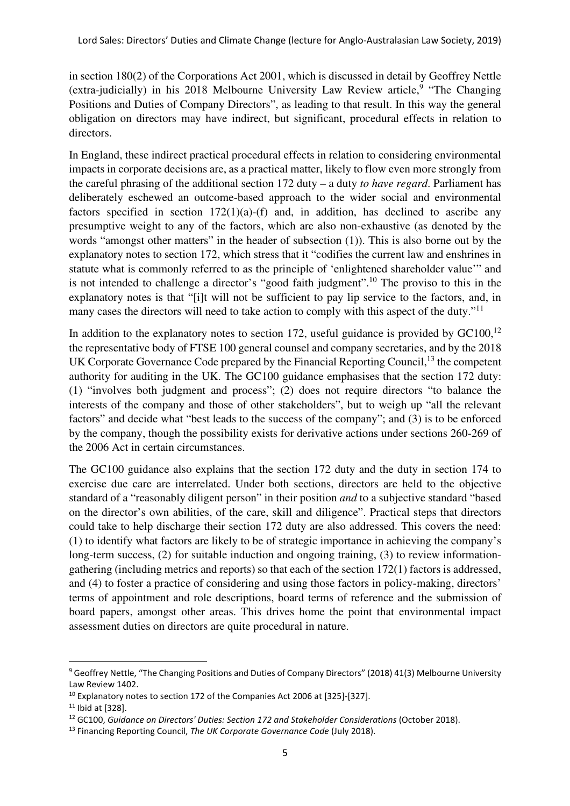in section 180(2) of the Corporations Act 2001, which is discussed in detail by Geoffrey Nettle (extra-judicially) in his 2018 Melbourne University Law Review article,  $9$  "The Changing Positions and Duties of Company Directors", as leading to that result. In this way the general obligation on directors may have indirect, but significant, procedural effects in relation to directors.

In England, these indirect practical procedural effects in relation to considering environmental impacts in corporate decisions are, as a practical matter, likely to flow even more strongly from the careful phrasing of the additional section 172 duty – a duty *to have regard*. Parliament has deliberately eschewed an outcome-based approach to the wider social and environmental factors specified in section  $172(1)(a)$ -(f) and, in addition, has declined to ascribe any presumptive weight to any of the factors, which are also non-exhaustive (as denoted by the words "amongst other matters" in the header of subsection (1)). This is also borne out by the explanatory notes to section 172, which stress that it "codifies the current law and enshrines in statute what is commonly referred to as the principle of 'enlightened shareholder value'" and is not intended to challenge a director's "good faith judgment".<sup>10</sup> The proviso to this in the explanatory notes is that "[i]t will not be sufficient to pay lip service to the factors, and, in many cases the directors will need to take action to comply with this aspect of the duty."<sup>11</sup>

In addition to the explanatory notes to section 172, useful guidance is provided by  $GC100$ ,<sup>12</sup> the representative body of FTSE 100 general counsel and company secretaries, and by the 2018 UK Corporate Governance Code prepared by the Financial Reporting Council, <sup>13</sup> the competent authority for auditing in the UK. The GC100 guidance emphasises that the section 172 duty: (1) "involves both judgment and process"; (2) does not require directors "to balance the interests of the company and those of other stakeholders", but to weigh up "all the relevant factors" and decide what "best leads to the success of the company"; and (3) is to be enforced by the company, though the possibility exists for derivative actions under sections 260-269 of the 2006 Act in certain circumstances.

The GC100 guidance also explains that the section 172 duty and the duty in section 174 to exercise due care are interrelated. Under both sections, directors are held to the objective standard of a "reasonably diligent person" in their position *and* to a subjective standard "based on the director's own abilities, of the care, skill and diligence". Practical steps that directors could take to help discharge their section 172 duty are also addressed. This covers the need: (1) to identify what factors are likely to be of strategic importance in achieving the company's long-term success, (2) for suitable induction and ongoing training, (3) to review informationgathering (including metrics and reports) so that each of the section 172(1) factors is addressed, and (4) to foster a practice of considering and using those factors in policy-making, directors' terms of appointment and role descriptions, board terms of reference and the submission of board papers, amongst other areas. This drives home the point that environmental impact assessment duties on directors are quite procedural in nature.

<sup>&</sup>lt;sup>9</sup> Geoffrey Nettle, "The Changing Positions and Duties of Company Directors" (2018) 41(3) Melbourne University Law Review 1402.

<sup>&</sup>lt;sup>10</sup> Explanatory notes to section 172 of the Companies Act 2006 at [325]-[327].

<sup>11</sup> Ibid at [328].

<sup>&</sup>lt;sup>12</sup> GC100, Guidance on Directors' Duties: Section 172 and Stakeholder Considerations (October 2018).

 $13$  Financing Reporting Council, The UK Corporate Governance Code (July 2018).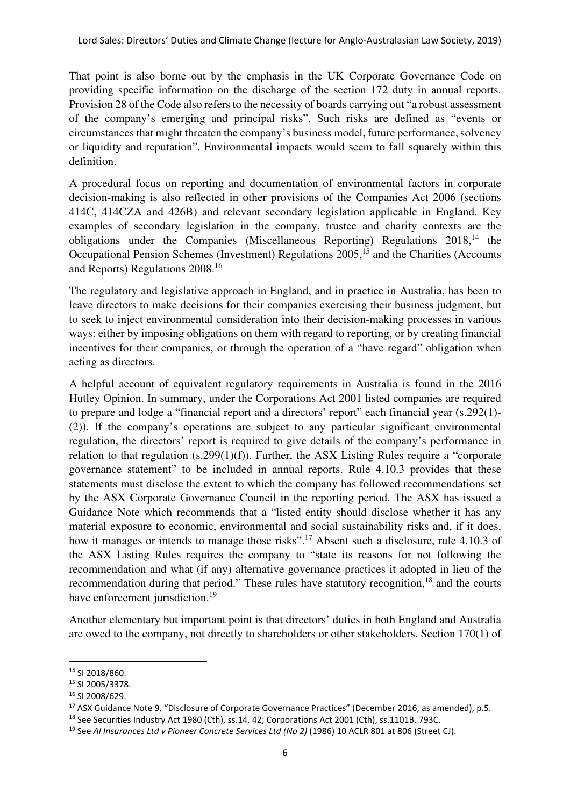That point is also borne out by the emphasis in the UK Corporate Governance Code on providing specific information on the discharge of the section 172 duty in annual reports. Provision 28 of the Code also refers to the necessity of boards carrying out "a robust assessment of the company's emerging and principal risks". Such risks are defined as "events or circumstances that might threaten the company's business model, future performance, solvency or liquidity and reputation". Environmental impacts would seem to fall squarely within this definition.

A procedural focus on reporting and documentation of environmental factors in corporate decision-making is also reflected in other provisions of the Companies Act 2006 (sections 414C, 414CZA and 426B) and relevant secondary legislation applicable in England. Key examples of secondary legislation in the company, trustee and charity contexts are the obligations under the Companies (Miscellaneous Reporting) Regulations  $2018$ ,<sup>14</sup> the Occupational Pension Schemes (Investment) Regulations 2005,<sup>15</sup> and the Charities (Accounts and Reports) Regulations 2008.<sup>16</sup>

The regulatory and legislative approach in England, and in practice in Australia, has been to leave directors to make decisions for their companies exercising their business judgment, but to seek to inject environmental consideration into their decision-making processes in various ways: either by imposing obligations on them with regard to reporting, or by creating financial incentives for their companies, or through the operation of a "have regard" obligation when acting as directors.

A helpful account of equivalent regulatory requirements in Australia is found in the 2016 Hutley Opinion. In summary, under the Corporations Act 2001 listed companies are required to prepare and lodge a "financial report and a directors' report" each financial year (s.292(1)- (2)). If the company's operations are subject to any particular significant environmental regulation, the directors' report is required to give details of the company's performance in relation to that regulation (s.299(1)(f)). Further, the ASX Listing Rules require a "corporate governance statement" to be included in annual reports. Rule 4.10.3 provides that these statements must disclose the extent to which the company has followed recommendations set by the ASX Corporate Governance Council in the reporting period. The ASX has issued a Guidance Note which recommends that a "listed entity should disclose whether it has any material exposure to economic, environmental and social sustainability risks and, if it does, how it manages or intends to manage those risks".<sup>17</sup> Absent such a disclosure, rule 4.10.3 of the ASX Listing Rules requires the company to "state its reasons for not following the recommendation and what (if any) alternative governance practices it adopted in lieu of the recommendation during that period." These rules have statutory recognition,<sup>18</sup> and the courts have enforcement jurisdiction.<sup>19</sup>

Another elementary but important point is that directors' duties in both England and Australia are owed to the company, not directly to shareholders or other stakeholders. Section 170(1) of

<sup>14</sup> SI 2018/860.

<sup>15</sup> SI 2005/3378.

<sup>16</sup> SI 2008/629.

<sup>17</sup> ASX Guidance Note 9, "Disclosure of Corporate Governance Practices" (December 2016, as amended), p.5.

<sup>&</sup>lt;sup>18</sup> See Securities Industry Act 1980 (Cth), ss.14, 42; Corporations Act 2001 (Cth), ss.1101B, 793C.

<sup>&</sup>lt;sup>19</sup> See Al Insurances Ltd v Pioneer Concrete Services Ltd (No 2) (1986) 10 ACLR 801 at 806 (Street CJ).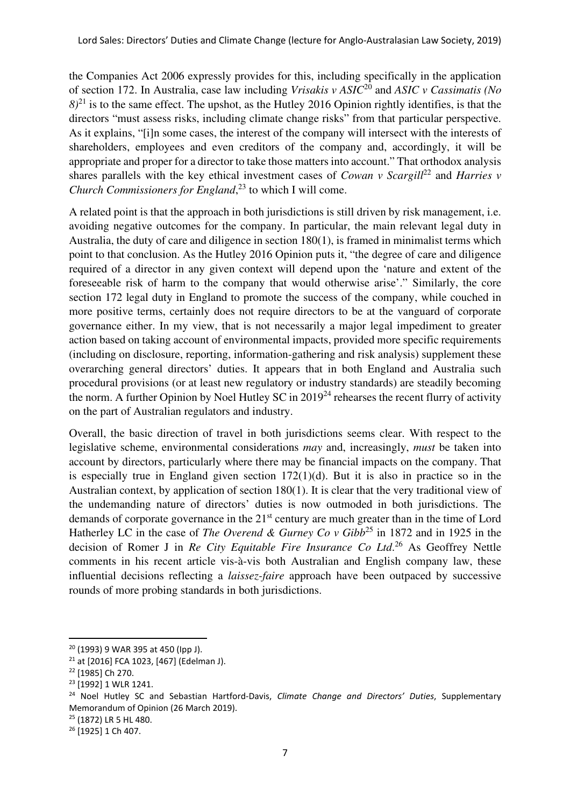the Companies Act 2006 expressly provides for this, including specifically in the application of section 172. In Australia, case law including *Vrisakis v ASIC*<sup>20</sup> and *ASIC v Cassimatis (No*   $8)^{21}$  is to the same effect. The upshot, as the Hutley 2016 Opinion rightly identifies, is that the directors "must assess risks, including climate change risks" from that particular perspective. As it explains, "[i]n some cases, the interest of the company will intersect with the interests of shareholders, employees and even creditors of the company and, accordingly, it will be appropriate and proper for a director to take those matters into account." That orthodox analysis shares parallels with the key ethical investment cases of *Cowan v Scargill*<sup>22</sup> and *Harries v Church Commissioners for England*, <sup>23</sup> to which I will come.

A related point is that the approach in both jurisdictions is still driven by risk management, i.e. avoiding negative outcomes for the company. In particular, the main relevant legal duty in Australia, the duty of care and diligence in section 180(1), is framed in minimalist terms which point to that conclusion. As the Hutley 2016 Opinion puts it, "the degree of care and diligence required of a director in any given context will depend upon the 'nature and extent of the foreseeable risk of harm to the company that would otherwise arise'." Similarly, the core section 172 legal duty in England to promote the success of the company, while couched in more positive terms, certainly does not require directors to be at the vanguard of corporate governance either. In my view, that is not necessarily a major legal impediment to greater action based on taking account of environmental impacts, provided more specific requirements (including on disclosure, reporting, information-gathering and risk analysis) supplement these overarching general directors' duties. It appears that in both England and Australia such procedural provisions (or at least new regulatory or industry standards) are steadily becoming the norm. A further Opinion by Noel Hutley SC in  $2019^{24}$  rehearses the recent flurry of activity on the part of Australian regulators and industry.

Overall, the basic direction of travel in both jurisdictions seems clear. With respect to the legislative scheme, environmental considerations *may* and, increasingly, *must* be taken into account by directors, particularly where there may be financial impacts on the company. That is especially true in England given section  $172(1)(d)$ . But it is also in practice so in the Australian context, by application of section 180(1). It is clear that the very traditional view of the undemanding nature of directors' duties is now outmoded in both jurisdictions. The demands of corporate governance in the 21<sup>st</sup> century are much greater than in the time of Lord Hatherley LC in the case of *The Overend & Gurney Co v Gibb*<sup>25</sup> in 1872 and in 1925 in the decision of Romer J in *Re City Equitable Fire Insurance Co Ltd*. <sup>26</sup> As Geoffrey Nettle comments in his recent article vis-à-vis both Australian and English company law, these influential decisions reflecting a *laissez-faire* approach have been outpaced by successive rounds of more probing standards in both jurisdictions.

<sup>20</sup> (1993) 9 WAR 395 at 450 (Ipp J).

<sup>21</sup> at [2016] FCA 1023, [467] (Edelman J).

<sup>22</sup> [1985] Ch 270.

<sup>23</sup> [1992] 1 WLR 1241.

<sup>&</sup>lt;sup>24</sup> Noel Hutley SC and Sebastian Hartford-Davis, Climate Change and Directors' Duties, Supplementary Memorandum of Opinion (26 March 2019).

<sup>25</sup> (1872) LR 5 HL 480.

<sup>&</sup>lt;sup>26</sup> [1925] 1 Ch 407.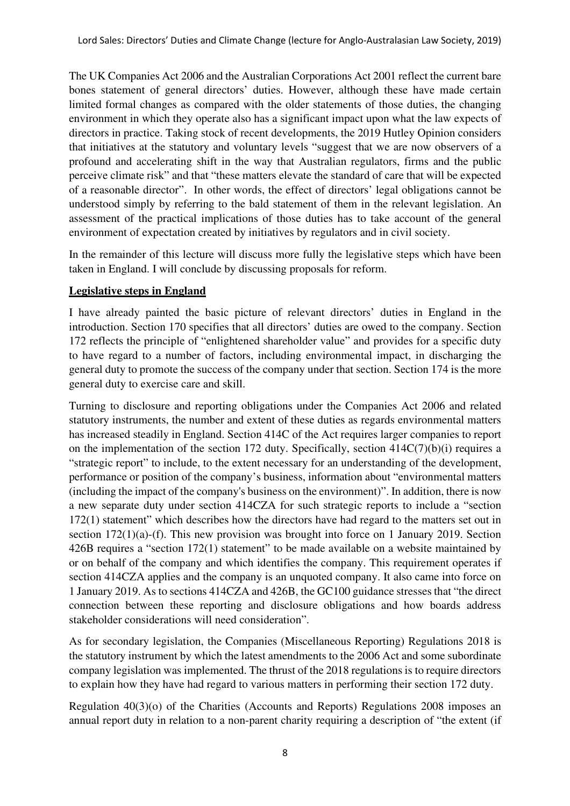The UK Companies Act 2006 and the Australian Corporations Act 2001 reflect the current bare bones statement of general directors' duties. However, although these have made certain limited formal changes as compared with the older statements of those duties, the changing environment in which they operate also has a significant impact upon what the law expects of directors in practice. Taking stock of recent developments, the 2019 Hutley Opinion considers that initiatives at the statutory and voluntary levels "suggest that we are now observers of a profound and accelerating shift in the way that Australian regulators, firms and the public perceive climate risk" and that "these matters elevate the standard of care that will be expected of a reasonable director". In other words, the effect of directors' legal obligations cannot be understood simply by referring to the bald statement of them in the relevant legislation. An assessment of the practical implications of those duties has to take account of the general environment of expectation created by initiatives by regulators and in civil society.

In the remainder of this lecture will discuss more fully the legislative steps which have been taken in England. I will conclude by discussing proposals for reform.

## **Legislative steps in England**

I have already painted the basic picture of relevant directors' duties in England in the introduction. Section 170 specifies that all directors' duties are owed to the company. Section 172 reflects the principle of "enlightened shareholder value" and provides for a specific duty to have regard to a number of factors, including environmental impact, in discharging the general duty to promote the success of the company under that section. Section 174 is the more general duty to exercise care and skill.

Turning to disclosure and reporting obligations under the Companies Act 2006 and related statutory instruments, the number and extent of these duties as regards environmental matters has increased steadily in England. Section 414C of the Act requires larger companies to report on the implementation of the section 172 duty. Specifically, section 414C(7)(b)(i) requires a "strategic report" to include, to the extent necessary for an understanding of the development, performance or position of the company's business, information about "environmental matters (including the impact of the company's business on the environment)". In addition, there is now a new separate duty under section 414CZA for such strategic reports to include a "section 172(1) statement" which describes how the directors have had regard to the matters set out in section 172(1)(a)-(f). This new provision was brought into force on 1 January 2019. Section 426B requires a "section 172(1) statement" to be made available on a website maintained by or on behalf of the company and which identifies the company. This requirement operates if section 414CZA applies and the company is an unquoted company. It also came into force on 1 January 2019. As to sections 414CZA and 426B, the GC100 guidance stresses that "the direct connection between these reporting and disclosure obligations and how boards address stakeholder considerations will need consideration".

As for secondary legislation, the Companies (Miscellaneous Reporting) Regulations 2018 is the statutory instrument by which the latest amendments to the 2006 Act and some subordinate company legislation was implemented. The thrust of the 2018 regulations is to require directors to explain how they have had regard to various matters in performing their section 172 duty.

Regulation 40(3)(o) of the Charities (Accounts and Reports) Regulations 2008 imposes an annual report duty in relation to a non-parent charity requiring a description of "the extent (if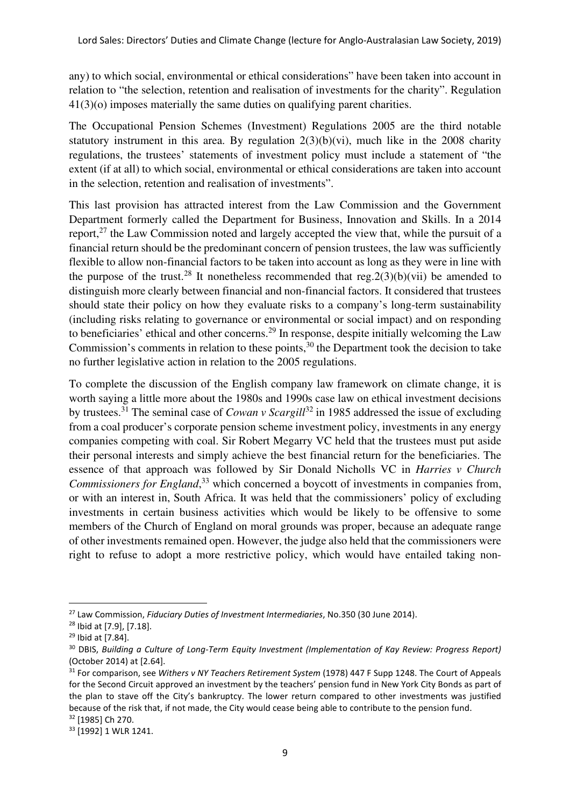any) to which social, environmental or ethical considerations" have been taken into account in relation to "the selection, retention and realisation of investments for the charity". Regulation 41(3)(o) imposes materially the same duties on qualifying parent charities.

The Occupational Pension Schemes (Investment) Regulations 2005 are the third notable statutory instrument in this area. By regulation  $2(3)(b)(vi)$ , much like in the 2008 charity regulations, the trustees' statements of investment policy must include a statement of "the extent (if at all) to which social, environmental or ethical considerations are taken into account in the selection, retention and realisation of investments".

This last provision has attracted interest from the Law Commission and the Government Department formerly called the Department for Business, Innovation and Skills. In a 2014 report, $27$  the Law Commission noted and largely accepted the view that, while the pursuit of a financial return should be the predominant concern of pension trustees, the law was sufficiently flexible to allow non-financial factors to be taken into account as long as they were in line with the purpose of the trust.<sup>28</sup> It nonetheless recommended that reg.  $2(3)(b)(vii)$  be amended to distinguish more clearly between financial and non-financial factors. It considered that trustees should state their policy on how they evaluate risks to a company's long-term sustainability (including risks relating to governance or environmental or social impact) and on responding to beneficiaries' ethical and other concerns.<sup>29</sup> In response, despite initially welcoming the Law Commission's comments in relation to these points, $30$  the Department took the decision to take no further legislative action in relation to the 2005 regulations.

To complete the discussion of the English company law framework on climate change, it is worth saying a little more about the 1980s and 1990s case law on ethical investment decisions by trustees.<sup>31</sup> The seminal case of *Cowan v Scargill*<sup>32</sup> in 1985 addressed the issue of excluding from a coal producer's corporate pension scheme investment policy, investments in any energy companies competing with coal. Sir Robert Megarry VC held that the trustees must put aside their personal interests and simply achieve the best financial return for the beneficiaries. The essence of that approach was followed by Sir Donald Nicholls VC in *Harries v Church Commissioners for England*, <sup>33</sup> which concerned a boycott of investments in companies from, or with an interest in, South Africa. It was held that the commissioners' policy of excluding investments in certain business activities which would be likely to be offensive to some members of the Church of England on moral grounds was proper, because an adequate range of other investments remained open. However, the judge also held that the commissioners were right to refuse to adopt a more restrictive policy, which would have entailed taking non-

<sup>&</sup>lt;sup>27</sup> Law Commission, Fiduciary Duties of Investment Intermediaries, No.350 (30 June 2014).

<sup>28</sup> Ibid at [7.9], [7.18].

<sup>29</sup> Ibid at [7.84].

<sup>&</sup>lt;sup>30</sup> DBIS, Building a Culture of Long-Term Equity Investment (Implementation of Kay Review: Progress Report) (October 2014) at [2.64].

<sup>&</sup>lt;sup>31</sup> For comparison, see Withers v NY Teachers Retirement System (1978) 447 F Supp 1248. The Court of Appeals for the Second Circuit approved an investment by the teachers' pension fund in New York City Bonds as part of the plan to stave off the City's bankruptcy. The lower return compared to other investments was justified because of the risk that, if not made, the City would cease being able to contribute to the pension fund.

<sup>32</sup> [1985] Ch 270.

<sup>33</sup> [1992] 1 WLR 1241.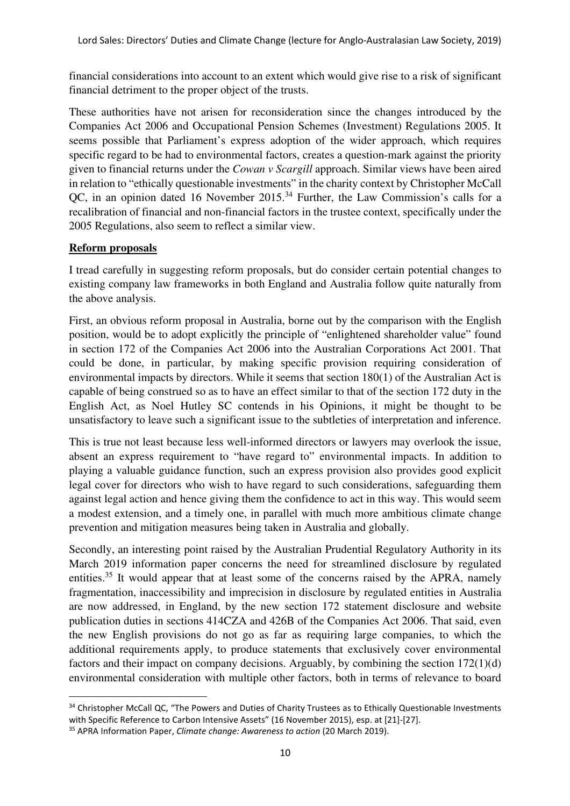financial considerations into account to an extent which would give rise to a risk of significant financial detriment to the proper object of the trusts.

These authorities have not arisen for reconsideration since the changes introduced by the Companies Act 2006 and Occupational Pension Schemes (Investment) Regulations 2005. It seems possible that Parliament's express adoption of the wider approach, which requires specific regard to be had to environmental factors, creates a question-mark against the priority given to financial returns under the *Cowan v Scargill* approach. Similar views have been aired in relation to "ethically questionable investments" in the charity context by Christopher McCall QC, in an opinion dated 16 November 2015.<sup>34</sup> Further, the Law Commission's calls for a recalibration of financial and non-financial factors in the trustee context, specifically under the 2005 Regulations, also seem to reflect a similar view.

## **Reform proposals**

I tread carefully in suggesting reform proposals, but do consider certain potential changes to existing company law frameworks in both England and Australia follow quite naturally from the above analysis.

First, an obvious reform proposal in Australia, borne out by the comparison with the English position, would be to adopt explicitly the principle of "enlightened shareholder value" found in section 172 of the Companies Act 2006 into the Australian Corporations Act 2001. That could be done, in particular, by making specific provision requiring consideration of environmental impacts by directors. While it seems that section 180(1) of the Australian Act is capable of being construed so as to have an effect similar to that of the section 172 duty in the English Act, as Noel Hutley SC contends in his Opinions, it might be thought to be unsatisfactory to leave such a significant issue to the subtleties of interpretation and inference.

This is true not least because less well-informed directors or lawyers may overlook the issue, absent an express requirement to "have regard to" environmental impacts. In addition to playing a valuable guidance function, such an express provision also provides good explicit legal cover for directors who wish to have regard to such considerations, safeguarding them against legal action and hence giving them the confidence to act in this way. This would seem a modest extension, and a timely one, in parallel with much more ambitious climate change prevention and mitigation measures being taken in Australia and globally.

Secondly, an interesting point raised by the Australian Prudential Regulatory Authority in its March 2019 information paper concerns the need for streamlined disclosure by regulated entities.<sup>35</sup> It would appear that at least some of the concerns raised by the APRA, namely fragmentation, inaccessibility and imprecision in disclosure by regulated entities in Australia are now addressed, in England, by the new section 172 statement disclosure and website publication duties in sections 414CZA and 426B of the Companies Act 2006. That said, even the new English provisions do not go as far as requiring large companies, to which the additional requirements apply, to produce statements that exclusively cover environmental factors and their impact on company decisions. Arguably, by combining the section 172(1)(d) environmental consideration with multiple other factors, both in terms of relevance to board

<sup>34</sup> Christopher McCall QC, "The Powers and Duties of Charity Trustees as to Ethically Questionable Investments with Specific Reference to Carbon Intensive Assets" (16 November 2015), esp. at [21]-[27].

<sup>&</sup>lt;sup>35</sup> APRA Information Paper, *Climate change: Awareness to action* (20 March 2019).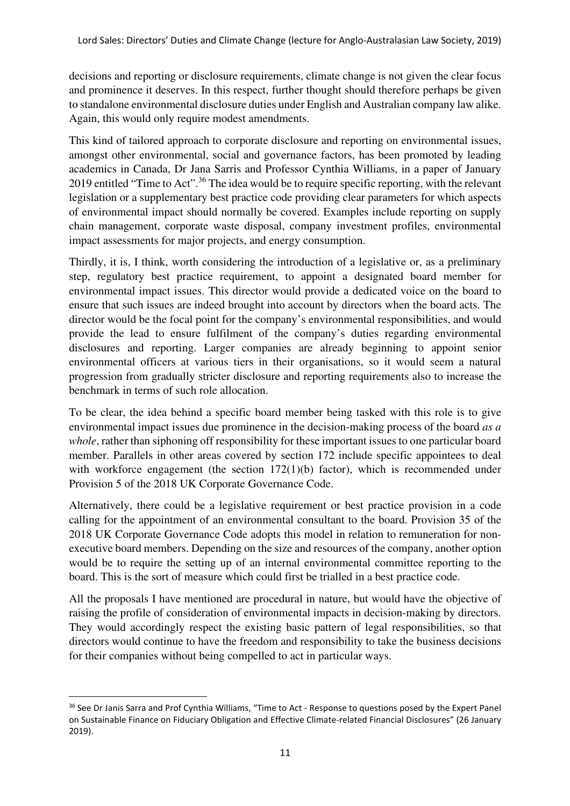decisions and reporting or disclosure requirements, climate change is not given the clear focus and prominence it deserves. In this respect, further thought should therefore perhaps be given to standalone environmental disclosure duties under English and Australian company law alike. Again, this would only require modest amendments.

This kind of tailored approach to corporate disclosure and reporting on environmental issues, amongst other environmental, social and governance factors, has been promoted by leading academics in Canada, Dr Jana Sarris and Professor Cynthia Williams, in a paper of January 2019 entitled "Time to Act".<sup>36</sup> The idea would be to require specific reporting, with the relevant legislation or a supplementary best practice code providing clear parameters for which aspects of environmental impact should normally be covered. Examples include reporting on supply chain management, corporate waste disposal, company investment profiles, environmental impact assessments for major projects, and energy consumption.

Thirdly, it is, I think, worth considering the introduction of a legislative or, as a preliminary step, regulatory best practice requirement, to appoint a designated board member for environmental impact issues. This director would provide a dedicated voice on the board to ensure that such issues are indeed brought into account by directors when the board acts. The director would be the focal point for the company's environmental responsibilities, and would provide the lead to ensure fulfilment of the company's duties regarding environmental disclosures and reporting. Larger companies are already beginning to appoint senior environmental officers at various tiers in their organisations, so it would seem a natural progression from gradually stricter disclosure and reporting requirements also to increase the benchmark in terms of such role allocation.

To be clear, the idea behind a specific board member being tasked with this role is to give environmental impact issues due prominence in the decision-making process of the board *as a whole*, rather than siphoning off responsibility for these important issues to one particular board member. Parallels in other areas covered by section 172 include specific appointees to deal with workforce engagement (the section 172(1)(b) factor), which is recommended under Provision 5 of the 2018 UK Corporate Governance Code.

Alternatively, there could be a legislative requirement or best practice provision in a code calling for the appointment of an environmental consultant to the board. Provision 35 of the 2018 UK Corporate Governance Code adopts this model in relation to remuneration for nonexecutive board members. Depending on the size and resources of the company, another option would be to require the setting up of an internal environmental committee reporting to the board. This is the sort of measure which could first be trialled in a best practice code.

All the proposals I have mentioned are procedural in nature, but would have the objective of raising the profile of consideration of environmental impacts in decision-making by directors. They would accordingly respect the existing basic pattern of legal responsibilities, so that directors would continue to have the freedom and responsibility to take the business decisions for their companies without being compelled to act in particular ways.

<sup>&</sup>lt;sup>36</sup> See Dr Janis Sarra and Prof Cynthia Williams, "Time to Act - Response to questions posed by the Expert Panel on Sustainable Finance on Fiduciary Obligation and Effective Climate-related Financial Disclosures" (26 January 2019).